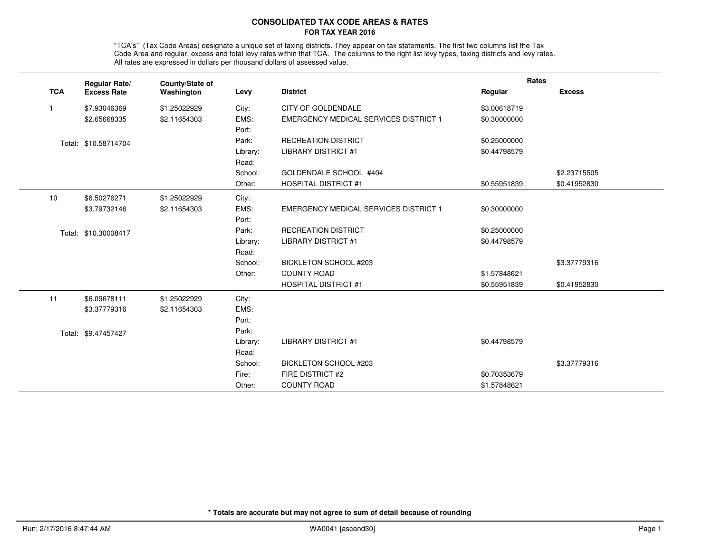## **CONSOLIDATED TAX CODE AREAS & RATESFOR TAX YEAR 2016**

"TCA's" (Tax Code Areas) designate a unique set of taxing districts. They appear on tax statements. The first two columns list the Tax<br>Code Area and regular, excess and total levy rates within that TCA. The columns to the All rates are expressed in dollars per thousand dollars of assessed value.

|                | <b>Regular Rate/</b> | County/State of |          |                                              | Rates        |               |
|----------------|----------------------|-----------------|----------|----------------------------------------------|--------------|---------------|
| <b>TCA</b>     | <b>Excess Rate</b>   | Washington      | Levy     | <b>District</b>                              | Regular      | <b>Excess</b> |
| $\overline{1}$ | \$7.93046369         | \$1.25022929    | City:    | <b>CITY OF GOLDENDALE</b>                    | \$3.00618719 |               |
|                | \$2.65668335         | \$2.11654303    | EMS:     | <b>EMERGENCY MEDICAL SERVICES DISTRICT 1</b> | \$0.30000000 |               |
|                |                      |                 | Port:    |                                              |              |               |
|                | Total: \$10.58714704 |                 | Park:    | <b>RECREATION DISTRICT</b>                   | \$0.25000000 |               |
|                |                      |                 | Library: | <b>LIBRARY DISTRICT #1</b>                   | \$0.44798579 |               |
|                |                      |                 | Road:    |                                              |              |               |
|                |                      |                 | School:  | GOLDENDALE SCHOOL #404                       |              | \$2.23715505  |
|                |                      |                 | Other:   | <b>HOSPITAL DISTRICT #1</b>                  | \$0.55951839 | \$0.41952830  |
| 10             | \$6.50276271         | \$1.25022929    | City:    |                                              |              |               |
|                | \$3.79732146         | \$2.11654303    | EMS:     | <b>EMERGENCY MEDICAL SERVICES DISTRICT 1</b> | \$0.30000000 |               |
|                |                      |                 | Port:    |                                              |              |               |
|                | Total: \$10.30008417 |                 | Park:    | <b>RECREATION DISTRICT</b>                   | \$0.25000000 |               |
|                |                      |                 | Library: | <b>LIBRARY DISTRICT #1</b>                   | \$0.44798579 |               |
|                |                      |                 | Road:    |                                              |              |               |
|                |                      |                 | School:  | BICKLETON SCHOOL #203                        |              | \$3.37779316  |
|                |                      |                 | Other:   | <b>COUNTY ROAD</b>                           | \$1.57848621 |               |
|                |                      |                 |          | <b>HOSPITAL DISTRICT #1</b>                  | \$0.55951839 | \$0.41952830  |
| 11             | \$6.09678111         | \$1.25022929    | City:    |                                              |              |               |
|                | \$3.37779316         | \$2.11654303    | EMS:     |                                              |              |               |
|                |                      |                 | Port:    |                                              |              |               |
|                | Total: \$9.47457427  |                 | Park:    |                                              |              |               |
|                |                      |                 | Library: | <b>LIBRARY DISTRICT #1</b>                   | \$0.44798579 |               |
|                |                      |                 | Road:    |                                              |              |               |
|                |                      |                 | School:  | <b>BICKLETON SCHOOL #203</b>                 |              | \$3.37779316  |
|                |                      |                 | Fire:    | FIRE DISTRICT #2                             | \$0.70353679 |               |
|                |                      |                 | Other:   | <b>COUNTY ROAD</b>                           | \$1.57848621 |               |

**\* Totals are accurate but may not agree to sum of detail because of rounding**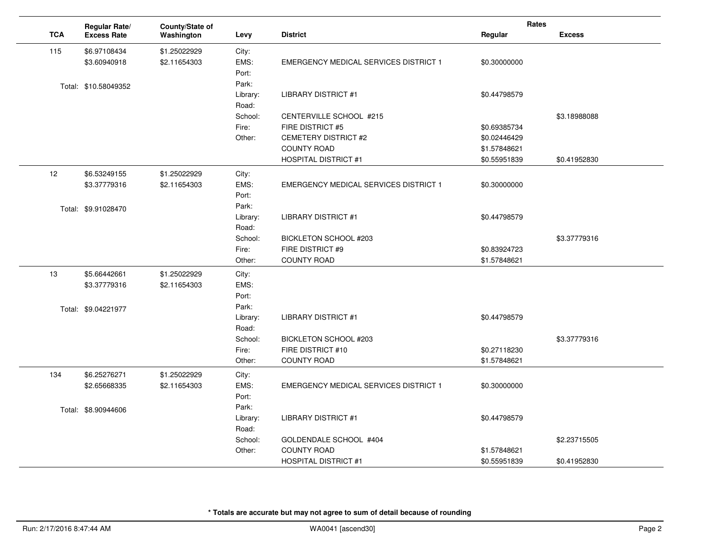|    |            | Regular Rate/        | County/State of |                  |                                              | Rates                        |               |
|----|------------|----------------------|-----------------|------------------|----------------------------------------------|------------------------------|---------------|
|    | <b>TCA</b> | <b>Excess Rate</b>   | Washington      | Levy             | <b>District</b>                              | Regular                      | <b>Excess</b> |
|    | 115        | \$6.97108434         | \$1.25022929    | City:            |                                              |                              |               |
|    |            | \$3.60940918         | \$2.11654303    | EMS:             | <b>EMERGENCY MEDICAL SERVICES DISTRICT 1</b> | \$0.30000000                 |               |
|    |            |                      |                 | Port:            |                                              |                              |               |
|    |            | Total: \$10.58049352 |                 | Park:            |                                              |                              |               |
|    |            |                      |                 | Library:         | <b>LIBRARY DISTRICT #1</b>                   | \$0.44798579                 |               |
|    |            |                      |                 | Road:            |                                              |                              |               |
|    |            |                      |                 | School:          | CENTERVILLE SCHOOL #215                      |                              | \$3.18988088  |
|    |            |                      |                 | Fire:            | FIRE DISTRICT #5                             | \$0.69385734                 |               |
|    |            |                      |                 | Other:           | <b>CEMETERY DISTRICT #2</b>                  | \$0.02446429                 |               |
|    |            |                      |                 |                  | <b>COUNTY ROAD</b>                           | \$1.57848621                 |               |
|    |            |                      |                 |                  | <b>HOSPITAL DISTRICT #1</b>                  | \$0.55951839                 | \$0.41952830  |
| 12 |            | \$6.53249155         | \$1.25022929    | City:            |                                              |                              |               |
|    |            | \$3,37779316         | \$2.11654303    | EMS:             | <b>EMERGENCY MEDICAL SERVICES DISTRICT 1</b> | \$0.30000000                 |               |
|    |            |                      |                 | Port:            |                                              |                              |               |
|    |            | Total: \$9.91028470  |                 | Park:            |                                              |                              |               |
|    |            |                      |                 | Library:         | <b>LIBRARY DISTRICT #1</b>                   | \$0.44798579                 |               |
|    |            |                      |                 | Road:            |                                              |                              |               |
|    |            |                      |                 | School:<br>Fire: | BICKLETON SCHOOL #203<br>FIRE DISTRICT #9    |                              | \$3.37779316  |
|    |            |                      |                 | Other:           | <b>COUNTY ROAD</b>                           | \$0.83924723<br>\$1.57848621 |               |
|    |            |                      |                 |                  |                                              |                              |               |
| 13 |            | \$5.66442661         | \$1.25022929    | City:            |                                              |                              |               |
|    |            | \$3.37779316         | \$2.11654303    | EMS:             |                                              |                              |               |
|    |            |                      |                 | Port:<br>Park:   |                                              |                              |               |
|    |            | Total: \$9.04221977  |                 | Library:         | <b>LIBRARY DISTRICT #1</b>                   | \$0.44798579                 |               |
|    |            |                      |                 | Road:            |                                              |                              |               |
|    |            |                      |                 | School:          | BICKLETON SCHOOL #203                        |                              | \$3.37779316  |
|    |            |                      |                 | Fire:            | FIRE DISTRICT #10                            | \$0.27118230                 |               |
|    |            |                      |                 | Other:           | <b>COUNTY ROAD</b>                           | \$1.57848621                 |               |
|    | 134        | \$6.25276271         | \$1.25022929    | City:            |                                              |                              |               |
|    |            | \$2.65668335         | \$2.11654303    | EMS:             | <b>EMERGENCY MEDICAL SERVICES DISTRICT 1</b> | \$0.30000000                 |               |
|    |            |                      |                 | Port:            |                                              |                              |               |
|    |            | Total: \$8.90944606  |                 | Park:            |                                              |                              |               |
|    |            |                      |                 | Library:         | <b>LIBRARY DISTRICT #1</b>                   | \$0.44798579                 |               |
|    |            |                      |                 | Road:            |                                              |                              |               |
|    |            |                      |                 | School:          | GOLDENDALE SCHOOL #404                       |                              | \$2.23715505  |
|    |            |                      |                 | Other:           | <b>COUNTY ROAD</b>                           | \$1.57848621                 |               |
|    |            |                      |                 |                  | <b>HOSPITAL DISTRICT #1</b>                  | \$0.55951839                 | \$0.41952830  |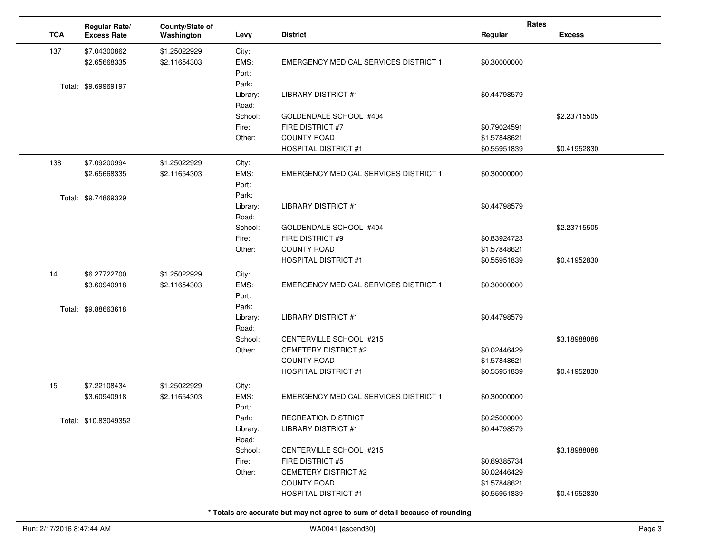|            | Regular Rate/        | County/State of |                  |                                              | Rates        |               |
|------------|----------------------|-----------------|------------------|----------------------------------------------|--------------|---------------|
| <b>TCA</b> | <b>Excess Rate</b>   | Washington      | Levy             | <b>District</b>                              | Regular      | <b>Excess</b> |
| 137        | \$7.04300862         | \$1.25022929    | City:            |                                              |              |               |
|            | \$2.65668335         | \$2.11654303    | EMS:             | <b>EMERGENCY MEDICAL SERVICES DISTRICT 1</b> | \$0.30000000 |               |
|            |                      |                 | Port:            |                                              |              |               |
|            | Total: \$9.69969197  |                 | Park:            |                                              |              |               |
|            |                      |                 | Library:         | LIBRARY DISTRICT #1                          | \$0.44798579 |               |
|            |                      |                 | Road:<br>School: | GOLDENDALE SCHOOL #404                       |              | \$2.23715505  |
|            |                      |                 | Fire:            | FIRE DISTRICT #7                             | \$0.79024591 |               |
|            |                      |                 | Other:           | <b>COUNTY ROAD</b>                           | \$1.57848621 |               |
|            |                      |                 |                  | <b>HOSPITAL DISTRICT #1</b>                  | \$0.55951839 | \$0.41952830  |
| 138        | \$7.09200994         | \$1.25022929    | City:            |                                              |              |               |
|            | \$2.65668335         | \$2.11654303    | EMS:             | <b>EMERGENCY MEDICAL SERVICES DISTRICT 1</b> | \$0.30000000 |               |
|            |                      |                 | Port:            |                                              |              |               |
|            | Total: \$9.74869329  |                 | Park:            |                                              |              |               |
|            |                      |                 | Library:         | <b>LIBRARY DISTRICT #1</b>                   | \$0.44798579 |               |
|            |                      |                 | Road:            |                                              |              |               |
|            |                      |                 | School:          | GOLDENDALE SCHOOL #404                       |              | \$2.23715505  |
|            |                      |                 | Fire:            | FIRE DISTRICT #9                             | \$0.83924723 |               |
|            |                      |                 | Other:           | <b>COUNTY ROAD</b>                           | \$1.57848621 |               |
|            |                      |                 |                  | <b>HOSPITAL DISTRICT #1</b>                  | \$0.55951839 | \$0.41952830  |
| 14         | \$6.27722700         | \$1.25022929    | City:            |                                              |              |               |
|            | \$3.60940918         | \$2.11654303    | EMS:             | <b>EMERGENCY MEDICAL SERVICES DISTRICT 1</b> | \$0.30000000 |               |
|            |                      |                 | Port:<br>Park:   |                                              |              |               |
|            | Total: \$9.88663618  |                 | Library:         | <b>LIBRARY DISTRICT #1</b>                   | \$0.44798579 |               |
|            |                      |                 | Road:            |                                              |              |               |
|            |                      |                 | School:          | CENTERVILLE SCHOOL #215                      |              | \$3.18988088  |
|            |                      |                 | Other:           | CEMETERY DISTRICT #2                         | \$0.02446429 |               |
|            |                      |                 |                  | <b>COUNTY ROAD</b>                           | \$1.57848621 |               |
|            |                      |                 |                  | <b>HOSPITAL DISTRICT #1</b>                  | \$0.55951839 | \$0.41952830  |
| 15         | \$7.22108434         | \$1.25022929    | City:            |                                              |              |               |
|            | \$3.60940918         | \$2.11654303    | EMS:             | EMERGENCY MEDICAL SERVICES DISTRICT 1        | \$0.30000000 |               |
|            |                      |                 | Port:            |                                              |              |               |
|            | Total: \$10.83049352 |                 | Park:            | <b>RECREATION DISTRICT</b>                   | \$0.25000000 |               |
|            |                      |                 | Library:         | <b>LIBRARY DISTRICT #1</b>                   | \$0.44798579 |               |
|            |                      |                 | Road:            |                                              |              |               |
|            |                      |                 | School:<br>Fire: | CENTERVILLE SCHOOL #215<br>FIRE DISTRICT #5  | \$0.69385734 | \$3.18988088  |
|            |                      |                 | Other:           | CEMETERY DISTRICT #2                         | \$0.02446429 |               |
|            |                      |                 |                  | <b>COUNTY ROAD</b>                           | \$1.57848621 |               |
|            |                      |                 |                  | <b>HOSPITAL DISTRICT #1</b>                  | \$0.55951839 | \$0.41952830  |
|            |                      |                 |                  |                                              |              |               |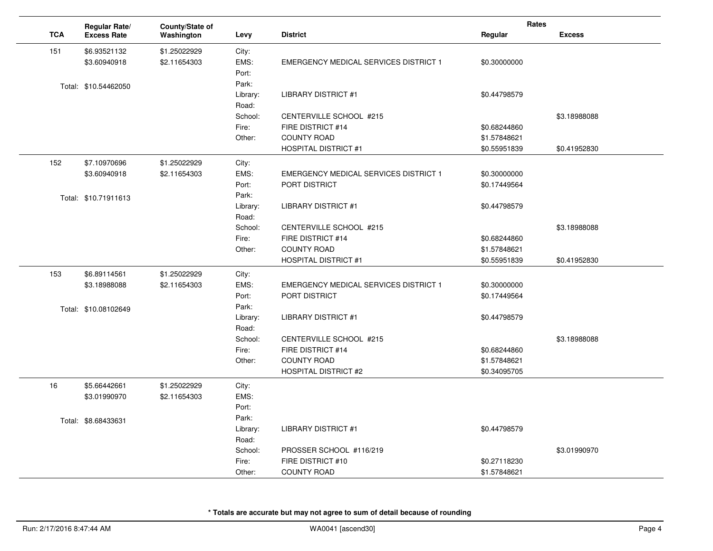|            | Regular Rate/        | County/State of |          |                                              | Rates        |               |
|------------|----------------------|-----------------|----------|----------------------------------------------|--------------|---------------|
| <b>TCA</b> | <b>Excess Rate</b>   | Washington      | Levy     | <b>District</b>                              | Regular      | <b>Excess</b> |
| 151        | \$6.93521132         | \$1.25022929    | City:    |                                              |              |               |
|            | \$3.60940918         | \$2.11654303    | EMS:     | <b>EMERGENCY MEDICAL SERVICES DISTRICT 1</b> | \$0.30000000 |               |
|            |                      |                 | Port:    |                                              |              |               |
|            | Total: \$10.54462050 |                 | Park:    |                                              |              |               |
|            |                      |                 | Library: | <b>LIBRARY DISTRICT #1</b>                   | \$0.44798579 |               |
|            |                      |                 | Road:    |                                              |              |               |
|            |                      |                 | School:  | CENTERVILLE SCHOOL #215                      |              | \$3.18988088  |
|            |                      |                 | Fire:    | FIRE DISTRICT #14                            | \$0.68244860 |               |
|            |                      |                 | Other:   | <b>COUNTY ROAD</b>                           | \$1.57848621 |               |
|            |                      |                 |          | <b>HOSPITAL DISTRICT #1</b>                  | \$0.55951839 | \$0.41952830  |
| 152        | \$7.10970696         | \$1.25022929    | City:    |                                              |              |               |
|            | \$3.60940918         | \$2.11654303    | EMS:     | <b>EMERGENCY MEDICAL SERVICES DISTRICT 1</b> | \$0.30000000 |               |
|            |                      |                 | Port:    | PORT DISTRICT                                | \$0.17449564 |               |
|            | Total: \$10.71911613 |                 | Park:    |                                              |              |               |
|            |                      |                 | Library: | <b>LIBRARY DISTRICT #1</b>                   | \$0.44798579 |               |
|            |                      |                 | Road:    |                                              |              |               |
|            |                      |                 | School:  | CENTERVILLE SCHOOL #215                      |              | \$3.18988088  |
|            |                      |                 | Fire:    | FIRE DISTRICT #14                            | \$0.68244860 |               |
|            |                      |                 | Other:   | <b>COUNTY ROAD</b>                           | \$1.57848621 |               |
|            |                      |                 |          | <b>HOSPITAL DISTRICT #1</b>                  | \$0.55951839 | \$0.41952830  |
| 153        | \$6.89114561         | \$1.25022929    | City:    |                                              |              |               |
|            | \$3.18988088         | \$2.11654303    | EMS:     | <b>EMERGENCY MEDICAL SERVICES DISTRICT 1</b> | \$0.30000000 |               |
|            |                      |                 | Port:    | PORT DISTRICT                                | \$0.17449564 |               |
|            | Total: \$10.08102649 |                 | Park:    |                                              |              |               |
|            |                      |                 | Library: | <b>LIBRARY DISTRICT #1</b>                   | \$0.44798579 |               |
|            |                      |                 | Road:    |                                              |              |               |
|            |                      |                 | School:  | CENTERVILLE SCHOOL #215                      |              | \$3.18988088  |
|            |                      |                 | Fire:    | FIRE DISTRICT #14                            | \$0.68244860 |               |
|            |                      |                 | Other:   | <b>COUNTY ROAD</b>                           | \$1.57848621 |               |
|            |                      |                 |          | <b>HOSPITAL DISTRICT #2</b>                  | \$0.34095705 |               |
| 16         | \$5.66442661         | \$1.25022929    | City:    |                                              |              |               |
|            | \$3.01990970         | \$2.11654303    | EMS:     |                                              |              |               |
|            |                      |                 | Port:    |                                              |              |               |
|            | Total: \$8.68433631  |                 | Park:    |                                              |              |               |
|            |                      |                 | Library: | <b>LIBRARY DISTRICT #1</b>                   | \$0.44798579 |               |
|            |                      |                 | Road:    |                                              |              |               |
|            |                      |                 | School:  | PROSSER SCHOOL #116/219                      |              | \$3.01990970  |
|            |                      |                 | Fire:    | FIRE DISTRICT #10                            | \$0.27118230 |               |
|            |                      |                 | Other:   | <b>COUNTY ROAD</b>                           | \$1.57848621 |               |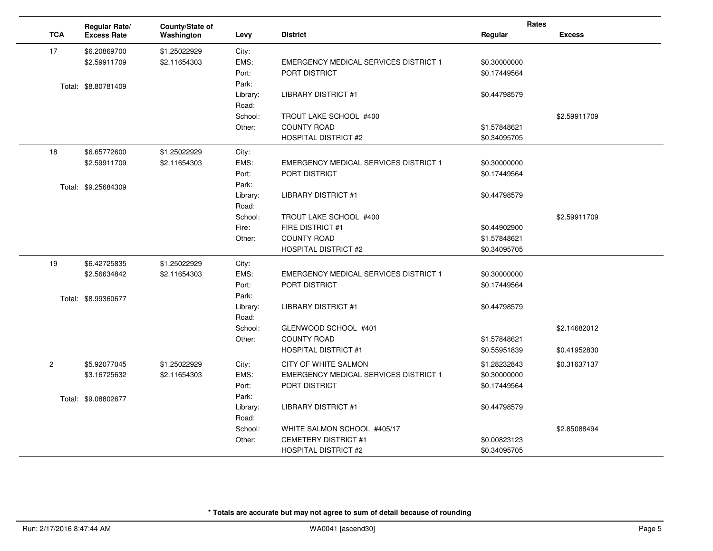|            | Regular Rate/       | County/State of |          |                                              | Rates        |               |
|------------|---------------------|-----------------|----------|----------------------------------------------|--------------|---------------|
| <b>TCA</b> | <b>Excess Rate</b>  | Washington      | Levy     | <b>District</b>                              | Regular      | <b>Excess</b> |
| 17         | \$6.20869700        | \$1.25022929    | City:    |                                              |              |               |
|            | \$2.59911709        | \$2.11654303    | EMS:     | <b>EMERGENCY MEDICAL SERVICES DISTRICT 1</b> | \$0.30000000 |               |
|            |                     |                 | Port:    | <b>PORT DISTRICT</b>                         | \$0.17449564 |               |
|            | Total: \$8.80781409 |                 | Park:    |                                              |              |               |
|            |                     |                 | Library: | <b>LIBRARY DISTRICT #1</b>                   | \$0.44798579 |               |
|            |                     |                 | Road:    |                                              |              |               |
|            |                     |                 | School:  | TROUT LAKE SCHOOL #400                       |              | \$2.59911709  |
|            |                     |                 | Other:   | <b>COUNTY ROAD</b>                           | \$1.57848621 |               |
|            |                     |                 |          | <b>HOSPITAL DISTRICT #2</b>                  | \$0.34095705 |               |
| 18         | \$6.65772600        | \$1.25022929    | City:    |                                              |              |               |
|            | \$2.59911709        | \$2.11654303    | EMS:     | <b>EMERGENCY MEDICAL SERVICES DISTRICT 1</b> | \$0.30000000 |               |
|            |                     |                 | Port:    | PORT DISTRICT                                | \$0.17449564 |               |
|            | Total: \$9.25684309 |                 | Park:    |                                              |              |               |
|            |                     |                 | Library: | <b>LIBRARY DISTRICT #1</b>                   | \$0.44798579 |               |
|            |                     |                 | Road:    |                                              |              |               |
|            |                     |                 | School:  | TROUT LAKE SCHOOL #400                       |              | \$2.59911709  |
|            |                     |                 | Fire:    | FIRE DISTRICT #1                             | \$0.44902900 |               |
|            |                     |                 | Other:   | <b>COUNTY ROAD</b>                           | \$1.57848621 |               |
|            |                     |                 |          | <b>HOSPITAL DISTRICT #2</b>                  | \$0.34095705 |               |
| 19         | \$6.42725835        | \$1.25022929    | City:    |                                              |              |               |
|            | \$2.56634842        | \$2.11654303    | EMS:     | <b>EMERGENCY MEDICAL SERVICES DISTRICT 1</b> | \$0.30000000 |               |
|            |                     |                 | Port:    | PORT DISTRICT                                | \$0.17449564 |               |
|            | Total: \$8.99360677 |                 | Park:    |                                              |              |               |
|            |                     |                 | Library: | <b>LIBRARY DISTRICT #1</b>                   | \$0.44798579 |               |
|            |                     |                 | Road:    |                                              |              |               |
|            |                     |                 | School:  | GLENWOOD SCHOOL #401                         |              | \$2.14682012  |
|            |                     |                 | Other:   | <b>COUNTY ROAD</b>                           | \$1.57848621 |               |
|            |                     |                 |          | <b>HOSPITAL DISTRICT #1</b>                  | \$0.55951839 | \$0.41952830  |
| 2          | \$5.92077045        | \$1.25022929    | City:    | CITY OF WHITE SALMON                         | \$1.28232843 | \$0.31637137  |
|            | \$3.16725632        | \$2.11654303    | EMS:     | <b>EMERGENCY MEDICAL SERVICES DISTRICT 1</b> | \$0.30000000 |               |
|            |                     |                 | Port:    | PORT DISTRICT                                | \$0.17449564 |               |
|            | Total: \$9.08802677 |                 | Park:    |                                              |              |               |
|            |                     |                 | Library: | <b>LIBRARY DISTRICT #1</b>                   | \$0.44798579 |               |
|            |                     |                 | Road:    |                                              |              |               |
|            |                     |                 | School:  | WHITE SALMON SCHOOL #405/17                  |              | \$2.85088494  |
|            |                     |                 | Other:   | <b>CEMETERY DISTRICT #1</b>                  | \$0.00823123 |               |
|            |                     |                 |          | <b>HOSPITAL DISTRICT #2</b>                  | \$0.34095705 |               |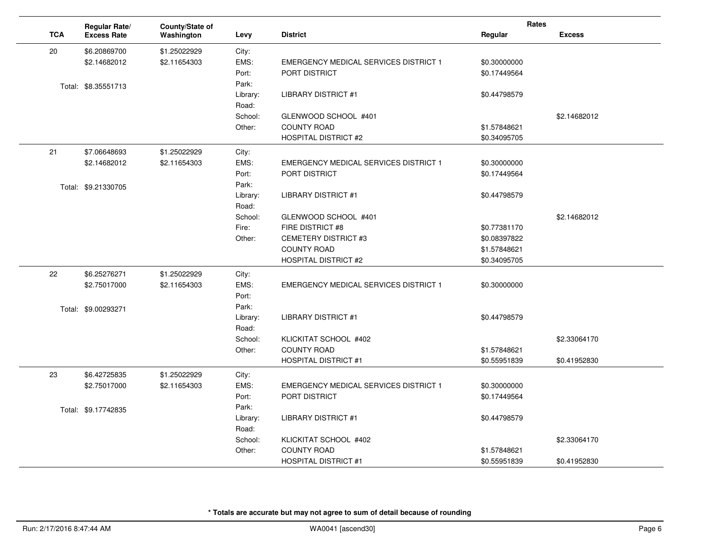|            | Regular Rate/       | County/State of |                   |                                              | Rates        |               |
|------------|---------------------|-----------------|-------------------|----------------------------------------------|--------------|---------------|
| <b>TCA</b> | <b>Excess Rate</b>  | Washington      | Levy              | <b>District</b>                              | Regular      | <b>Excess</b> |
| 20         | \$6.20869700        | \$1.25022929    | City:             |                                              |              |               |
|            | \$2.14682012        | \$2.11654303    | EMS:              | EMERGENCY MEDICAL SERVICES DISTRICT 1        | \$0.30000000 |               |
|            |                     |                 | Port:             | PORT DISTRICT                                | \$0.17449564 |               |
|            | Total: \$8.35551713 |                 | Park:             |                                              |              |               |
|            |                     |                 | Library:<br>Road: | <b>LIBRARY DISTRICT #1</b>                   | \$0.44798579 |               |
|            |                     |                 | School:           | GLENWOOD SCHOOL #401                         |              | \$2.14682012  |
|            |                     |                 | Other:            | <b>COUNTY ROAD</b>                           | \$1.57848621 |               |
|            |                     |                 |                   | <b>HOSPITAL DISTRICT #2</b>                  | \$0.34095705 |               |
| 21         | \$7.06648693        | \$1.25022929    | City:             |                                              |              |               |
|            | \$2.14682012        | \$2.11654303    | EMS:              | <b>EMERGENCY MEDICAL SERVICES DISTRICT 1</b> | \$0.30000000 |               |
|            |                     |                 | Port:             | <b>PORT DISTRICT</b>                         | \$0.17449564 |               |
|            | Total: \$9.21330705 |                 | Park:             |                                              |              |               |
|            |                     |                 | Library:          | <b>LIBRARY DISTRICT #1</b>                   | \$0.44798579 |               |
|            |                     |                 | Road:             |                                              |              |               |
|            |                     |                 | School:           | GLENWOOD SCHOOL #401                         |              | \$2.14682012  |
|            |                     |                 | Fire:             | FIRE DISTRICT #8                             | \$0.77381170 |               |
|            |                     |                 | Other:            | <b>CEMETERY DISTRICT #3</b>                  | \$0.08397822 |               |
|            |                     |                 |                   | <b>COUNTY ROAD</b>                           | \$1.57848621 |               |
|            |                     |                 |                   | <b>HOSPITAL DISTRICT #2</b>                  | \$0.34095705 |               |
| 22         | \$6.25276271        | \$1.25022929    | City:             |                                              |              |               |
|            | \$2.75017000        | \$2.11654303    | EMS:              | <b>EMERGENCY MEDICAL SERVICES DISTRICT 1</b> | \$0.30000000 |               |
|            |                     |                 | Port:             |                                              |              |               |
|            | Total: \$9.00293271 |                 | Park:             |                                              |              |               |
|            |                     |                 | Library:          | <b>LIBRARY DISTRICT #1</b>                   | \$0.44798579 |               |
|            |                     |                 | Road:             |                                              |              |               |
|            |                     |                 | School:           | KLICKITAT SCHOOL #402                        |              | \$2.33064170  |
|            |                     |                 | Other:            | <b>COUNTY ROAD</b>                           | \$1.57848621 |               |
|            |                     |                 |                   | <b>HOSPITAL DISTRICT #1</b>                  | \$0.55951839 | \$0.41952830  |
| 23         | \$6.42725835        | \$1.25022929    | City:             |                                              |              |               |
|            | \$2.75017000        | \$2.11654303    | EMS:              | <b>EMERGENCY MEDICAL SERVICES DISTRICT 1</b> | \$0.30000000 |               |
|            |                     |                 | Port:             | PORT DISTRICT                                | \$0.17449564 |               |
|            | Total: \$9.17742835 |                 | Park:             |                                              |              |               |
|            |                     |                 | Library:          | <b>LIBRARY DISTRICT #1</b>                   | \$0.44798579 |               |
|            |                     |                 | Road:             |                                              |              |               |
|            |                     |                 | School:           | KLICKITAT SCHOOL #402                        |              | \$2.33064170  |
|            |                     |                 | Other:            | <b>COUNTY ROAD</b>                           | \$1.57848621 |               |
|            |                     |                 |                   | <b>HOSPITAL DISTRICT #1</b>                  | \$0.55951839 | \$0.41952830  |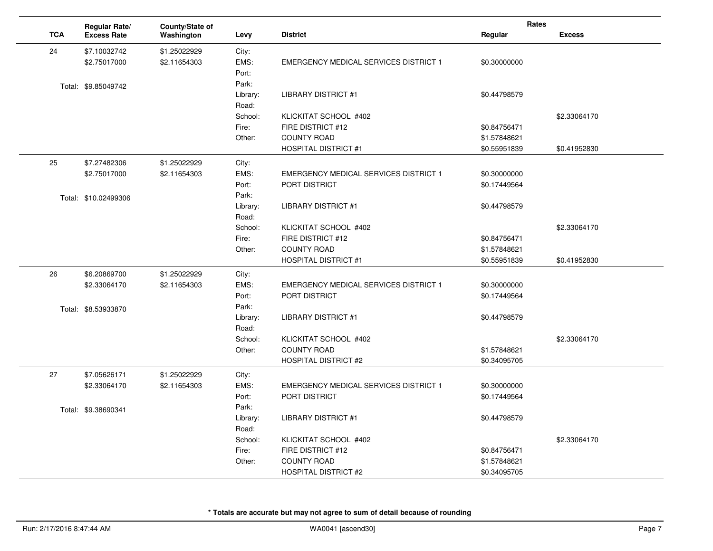|            | Regular Rate/        | County/State of |                   |                                              | <b>Rates</b> |               |
|------------|----------------------|-----------------|-------------------|----------------------------------------------|--------------|---------------|
| <b>TCA</b> | <b>Excess Rate</b>   | Washington      | Levy              | <b>District</b>                              | Regular      | <b>Excess</b> |
| 24         | \$7.10032742         | \$1.25022929    | City:             |                                              |              |               |
|            | \$2.75017000         | \$2.11654303    | EMS:              | <b>EMERGENCY MEDICAL SERVICES DISTRICT 1</b> | \$0.30000000 |               |
|            |                      |                 | Port:             |                                              |              |               |
|            | Total: \$9.85049742  |                 | Park:             |                                              |              |               |
|            |                      |                 | Library:          | <b>LIBRARY DISTRICT #1</b>                   | \$0.44798579 |               |
|            |                      |                 | Road:             |                                              |              |               |
|            |                      |                 | School:           | KLICKITAT SCHOOL #402                        |              | \$2.33064170  |
|            |                      |                 | Fire:             | FIRE DISTRICT #12                            | \$0.84756471 |               |
|            |                      |                 | Other:            | <b>COUNTY ROAD</b>                           | \$1.57848621 |               |
|            |                      |                 |                   | <b>HOSPITAL DISTRICT #1</b>                  | \$0.55951839 | \$0.41952830  |
| 25         | \$7.27482306         | \$1.25022929    | City:             |                                              |              |               |
|            | \$2.75017000         | \$2.11654303    | EMS:              | <b>EMERGENCY MEDICAL SERVICES DISTRICT 1</b> | \$0.30000000 |               |
|            |                      |                 | Port:             | PORT DISTRICT                                | \$0.17449564 |               |
|            | Total: \$10.02499306 |                 | Park:             |                                              |              |               |
|            |                      |                 | Library:          | <b>LIBRARY DISTRICT #1</b>                   | \$0.44798579 |               |
|            |                      |                 | Road:             |                                              |              |               |
|            |                      |                 | School:           | KLICKITAT SCHOOL #402                        |              | \$2.33064170  |
|            |                      |                 | Fire:             | FIRE DISTRICT #12                            | \$0.84756471 |               |
|            |                      |                 | Other:            | <b>COUNTY ROAD</b>                           | \$1.57848621 |               |
|            |                      |                 |                   | <b>HOSPITAL DISTRICT #1</b>                  | \$0.55951839 | \$0.41952830  |
| 26         | \$6.20869700         | \$1.25022929    | City:             |                                              |              |               |
|            | \$2.33064170         | \$2.11654303    | EMS:              | EMERGENCY MEDICAL SERVICES DISTRICT 1        | \$0.30000000 |               |
|            |                      |                 | Port:             | PORT DISTRICT                                | \$0.17449564 |               |
|            | Total: \$8.53933870  |                 | Park:             |                                              |              |               |
|            |                      |                 | Library:          | <b>LIBRARY DISTRICT #1</b>                   | \$0.44798579 |               |
|            |                      |                 | Road:             |                                              |              |               |
|            |                      |                 | School:<br>Other: | KLICKITAT SCHOOL #402<br><b>COUNTY ROAD</b>  | \$1.57848621 | \$2.33064170  |
|            |                      |                 |                   | <b>HOSPITAL DISTRICT #2</b>                  | \$0.34095705 |               |
|            |                      |                 |                   |                                              |              |               |
| 27         | \$7.05626171         | \$1.25022929    | City:             |                                              |              |               |
|            | \$2.33064170         | \$2.11654303    | EMS:              | <b>EMERGENCY MEDICAL SERVICES DISTRICT 1</b> | \$0.30000000 |               |
|            |                      |                 | Port:             | PORT DISTRICT                                | \$0.17449564 |               |
|            | Total: \$9.38690341  |                 | Park:             |                                              |              |               |
|            |                      |                 | Library:<br>Road: | <b>LIBRARY DISTRICT #1</b>                   | \$0.44798579 |               |
|            |                      |                 | School:           | KLICKITAT SCHOOL #402                        |              | \$2.33064170  |
|            |                      |                 | Fire:             | FIRE DISTRICT #12                            | \$0.84756471 |               |
|            |                      |                 | Other:            | <b>COUNTY ROAD</b>                           | \$1.57848621 |               |
|            |                      |                 |                   | <b>HOSPITAL DISTRICT #2</b>                  | \$0.34095705 |               |
|            |                      |                 |                   |                                              |              |               |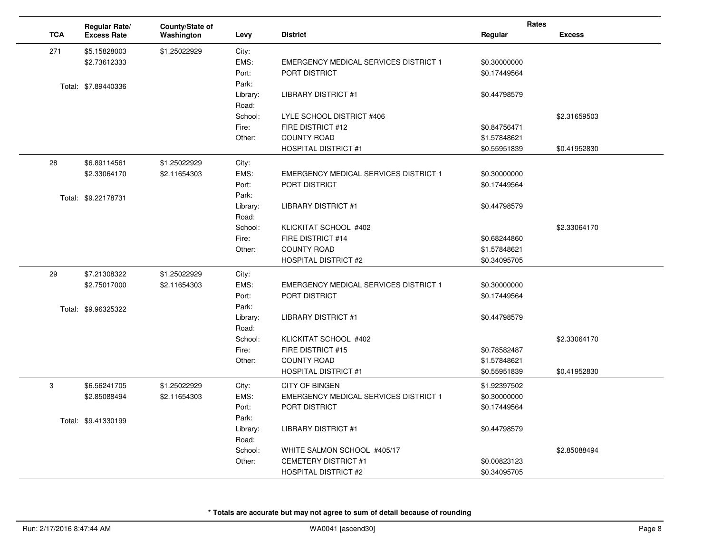|            | Regular Rate/       | County/State of |          |                                              | <b>Rates</b> |               |
|------------|---------------------|-----------------|----------|----------------------------------------------|--------------|---------------|
| <b>TCA</b> | <b>Excess Rate</b>  | Washington      | Levy     | <b>District</b>                              | Regular      | <b>Excess</b> |
| 271        | \$5.15828003        | \$1.25022929    | City:    |                                              |              |               |
|            | \$2.73612333        |                 | EMS:     | <b>EMERGENCY MEDICAL SERVICES DISTRICT 1</b> | \$0.30000000 |               |
|            |                     |                 | Port:    | PORT DISTRICT                                | \$0.17449564 |               |
|            | Total: \$7.89440336 |                 | Park:    |                                              |              |               |
|            |                     |                 | Library: | <b>LIBRARY DISTRICT #1</b>                   | \$0.44798579 |               |
|            |                     |                 | Road:    |                                              |              |               |
|            |                     |                 | School:  | LYLE SCHOOL DISTRICT #406                    |              | \$2.31659503  |
|            |                     |                 | Fire:    | FIRE DISTRICT #12                            | \$0.84756471 |               |
|            |                     |                 | Other:   | <b>COUNTY ROAD</b>                           | \$1.57848621 |               |
|            |                     |                 |          | <b>HOSPITAL DISTRICT #1</b>                  | \$0.55951839 | \$0.41952830  |
| 28         | \$6.89114561        | \$1.25022929    | City:    |                                              |              |               |
|            | \$2.33064170        | \$2.11654303    | EMS:     | <b>EMERGENCY MEDICAL SERVICES DISTRICT 1</b> | \$0.30000000 |               |
|            |                     |                 | Port:    | PORT DISTRICT                                | \$0.17449564 |               |
|            | Total: \$9.22178731 |                 | Park:    |                                              |              |               |
|            |                     |                 | Library: | <b>LIBRARY DISTRICT #1</b>                   | \$0.44798579 |               |
|            |                     |                 | Road:    |                                              |              |               |
|            |                     |                 | School:  | KLICKITAT SCHOOL #402                        |              | \$2.33064170  |
|            |                     |                 | Fire:    | FIRE DISTRICT #14                            | \$0.68244860 |               |
|            |                     |                 | Other:   | <b>COUNTY ROAD</b>                           | \$1.57848621 |               |
|            |                     |                 |          | <b>HOSPITAL DISTRICT #2</b>                  | \$0.34095705 |               |
| 29         | \$7.21308322        | \$1.25022929    | City:    |                                              |              |               |
|            | \$2.75017000        | \$2.11654303    | EMS:     | <b>EMERGENCY MEDICAL SERVICES DISTRICT 1</b> | \$0.30000000 |               |
|            |                     |                 | Port:    | <b>PORT DISTRICT</b>                         | \$0.17449564 |               |
|            | Total: \$9.96325322 |                 | Park:    |                                              |              |               |
|            |                     |                 | Library: | <b>LIBRARY DISTRICT #1</b>                   | \$0.44798579 |               |
|            |                     |                 | Road:    |                                              |              |               |
|            |                     |                 | School:  | KLICKITAT SCHOOL #402                        |              | \$2.33064170  |
|            |                     |                 | Fire:    | FIRE DISTRICT #15                            | \$0.78582487 |               |
|            |                     |                 | Other:   | <b>COUNTY ROAD</b>                           | \$1.57848621 |               |
|            |                     |                 |          | <b>HOSPITAL DISTRICT #1</b>                  | \$0.55951839 | \$0.41952830  |
| 3          | \$6.56241705        | \$1.25022929    | City:    | <b>CITY OF BINGEN</b>                        | \$1.92397502 |               |
|            | \$2.85088494        | \$2.11654303    | EMS:     | <b>EMERGENCY MEDICAL SERVICES DISTRICT 1</b> | \$0.30000000 |               |
|            |                     |                 | Port:    | PORT DISTRICT                                | \$0.17449564 |               |
|            | Total: \$9.41330199 |                 | Park:    |                                              |              |               |
|            |                     |                 | Library: | <b>LIBRARY DISTRICT #1</b>                   | \$0.44798579 |               |
|            |                     |                 | Road:    |                                              |              |               |
|            |                     |                 | School:  | WHITE SALMON SCHOOL #405/17                  |              | \$2.85088494  |
|            |                     |                 | Other:   | <b>CEMETERY DISTRICT #1</b>                  | \$0.00823123 |               |
|            |                     |                 |          | <b>HOSPITAL DISTRICT #2</b>                  | \$0.34095705 |               |

 $\sim$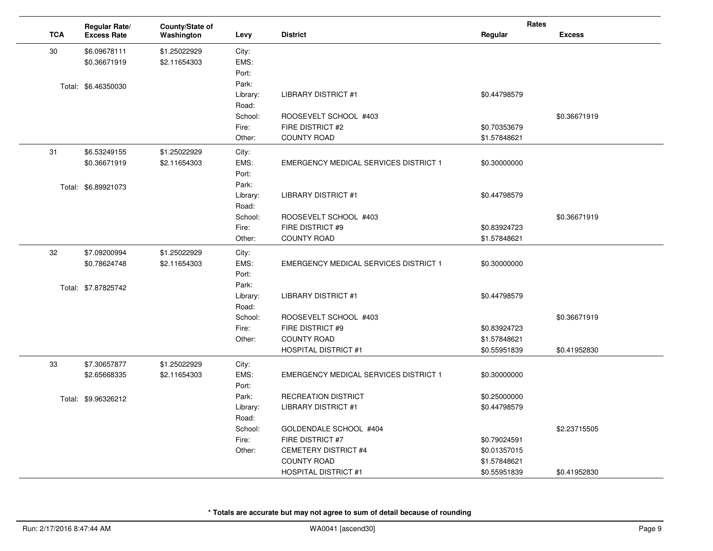|            | Regular Rate/       | County/State of |          |                                              | Rates        |               |
|------------|---------------------|-----------------|----------|----------------------------------------------|--------------|---------------|
| <b>TCA</b> | <b>Excess Rate</b>  | Washington      | Levy     | <b>District</b>                              | Regular      | <b>Excess</b> |
| 30         | \$6.09678111        | \$1.25022929    | City:    |                                              |              |               |
|            | \$0.36671919        | \$2.11654303    | EMS:     |                                              |              |               |
|            |                     |                 | Port:    |                                              |              |               |
|            | Total: \$6.46350030 |                 | Park:    |                                              |              |               |
|            |                     |                 | Library: | <b>LIBRARY DISTRICT #1</b>                   | \$0.44798579 |               |
|            |                     |                 | Road:    |                                              |              |               |
|            |                     |                 | School:  | ROOSEVELT SCHOOL #403                        |              | \$0.36671919  |
|            |                     |                 | Fire:    | FIRE DISTRICT #2                             | \$0.70353679 |               |
|            |                     |                 | Other:   | <b>COUNTY ROAD</b>                           | \$1.57848621 |               |
| 31         | \$6.53249155        | \$1.25022929    | City:    |                                              |              |               |
|            | \$0.36671919        | \$2.11654303    | EMS:     | <b>EMERGENCY MEDICAL SERVICES DISTRICT 1</b> | \$0.30000000 |               |
|            |                     |                 | Port:    |                                              |              |               |
|            | Total: \$6.89921073 |                 | Park:    |                                              |              |               |
|            |                     |                 | Library: | <b>LIBRARY DISTRICT #1</b>                   | \$0.44798579 |               |
|            |                     |                 | Road:    |                                              |              |               |
|            |                     |                 | School:  | ROOSEVELT SCHOOL #403                        |              | \$0.36671919  |
|            |                     |                 | Fire:    | FIRE DISTRICT #9                             | \$0.83924723 |               |
|            |                     |                 | Other:   | <b>COUNTY ROAD</b>                           | \$1.57848621 |               |
| 32         | \$7.09200994        | \$1.25022929    | City:    |                                              |              |               |
|            | \$0.78624748        | \$2.11654303    | EMS:     | <b>EMERGENCY MEDICAL SERVICES DISTRICT 1</b> | \$0.30000000 |               |
|            |                     |                 | Port:    |                                              |              |               |
|            | Total: \$7.87825742 |                 | Park:    |                                              |              |               |
|            |                     |                 | Library: | <b>LIBRARY DISTRICT #1</b>                   | \$0.44798579 |               |
|            |                     |                 | Road:    |                                              |              |               |
|            |                     |                 | School:  | ROOSEVELT SCHOOL #403                        |              | \$0.36671919  |
|            |                     |                 | Fire:    | FIRE DISTRICT #9                             | \$0.83924723 |               |
|            |                     |                 | Other:   | <b>COUNTY ROAD</b>                           | \$1.57848621 |               |
|            |                     |                 |          | <b>HOSPITAL DISTRICT #1</b>                  | \$0.55951839 | \$0.41952830  |
| 33         | \$7.30657877        | \$1.25022929    | City:    |                                              |              |               |
|            | \$2.65668335        | \$2.11654303    | EMS:     | <b>EMERGENCY MEDICAL SERVICES DISTRICT 1</b> | \$0.30000000 |               |
|            |                     |                 | Port:    |                                              |              |               |
|            | Total: \$9.96326212 |                 | Park:    | <b>RECREATION DISTRICT</b>                   | \$0.25000000 |               |
|            |                     |                 | Library: | <b>LIBRARY DISTRICT #1</b>                   | \$0.44798579 |               |
|            |                     |                 | Road:    |                                              |              |               |
|            |                     |                 | School:  | GOLDENDALE SCHOOL #404                       |              | \$2.23715505  |
|            |                     |                 | Fire:    | FIRE DISTRICT #7                             | \$0.79024591 |               |
|            |                     |                 | Other:   | CEMETERY DISTRICT #4                         | \$0.01357015 |               |
|            |                     |                 |          | <b>COUNTY ROAD</b>                           | \$1.57848621 |               |
|            |                     |                 |          | <b>HOSPITAL DISTRICT #1</b>                  | \$0.55951839 | \$0.41952830  |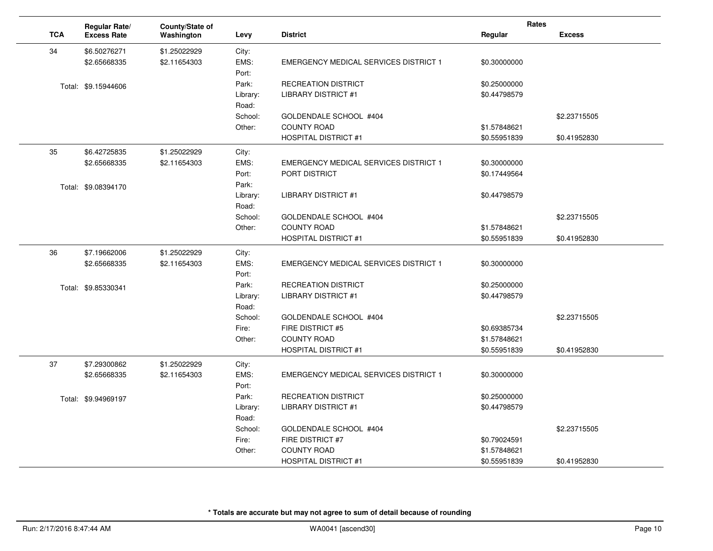|            | Regular Rate/                | County/State of |                   |                                              | Rates                        |               |
|------------|------------------------------|-----------------|-------------------|----------------------------------------------|------------------------------|---------------|
| <b>TCA</b> | <b>Excess Rate</b>           | Washington      | Levy              | <b>District</b>                              | Regular                      | <b>Excess</b> |
| 34         | \$6.50276271                 | \$1.25022929    | City:             |                                              |                              |               |
|            | \$2.65668335                 | \$2.11654303    | EMS:              | <b>EMERGENCY MEDICAL SERVICES DISTRICT 1</b> | \$0.30000000                 |               |
|            |                              |                 | Port:             |                                              |                              |               |
|            | Total: \$9.15944606          |                 | Park:             | <b>RECREATION DISTRICT</b>                   | \$0.25000000                 |               |
|            |                              |                 | Library:          | <b>LIBRARY DISTRICT #1</b>                   | \$0.44798579                 |               |
|            |                              |                 | Road:             |                                              |                              |               |
|            |                              |                 | School:<br>Other: | GOLDENDALE SCHOOL #404<br><b>COUNTY ROAD</b> | \$1.57848621                 | \$2.23715505  |
|            |                              |                 |                   | <b>HOSPITAL DISTRICT #1</b>                  | \$0.55951839                 | \$0.41952830  |
|            |                              |                 |                   |                                              |                              |               |
| 35         | \$6.42725835<br>\$2.65668335 | \$1.25022929    | City:<br>EMS:     | <b>EMERGENCY MEDICAL SERVICES DISTRICT 1</b> |                              |               |
|            |                              | \$2.11654303    | Port:             | PORT DISTRICT                                | \$0.30000000<br>\$0.17449564 |               |
|            |                              |                 | Park:             |                                              |                              |               |
|            | Total: \$9.08394170          |                 | Library:          | <b>LIBRARY DISTRICT #1</b>                   | \$0.44798579                 |               |
|            |                              |                 | Road:             |                                              |                              |               |
|            |                              |                 | School:           | GOLDENDALE SCHOOL #404                       |                              | \$2.23715505  |
|            |                              |                 | Other:            | <b>COUNTY ROAD</b>                           | \$1.57848621                 |               |
|            |                              |                 |                   | <b>HOSPITAL DISTRICT #1</b>                  | \$0.55951839                 | \$0.41952830  |
| 36         | \$7.19662006                 | \$1.25022929    | City:             |                                              |                              |               |
|            | \$2.65668335                 | \$2.11654303    | EMS:              | <b>EMERGENCY MEDICAL SERVICES DISTRICT 1</b> | \$0.30000000                 |               |
|            |                              |                 | Port:             |                                              |                              |               |
|            | Total: \$9.85330341          |                 | Park:             | <b>RECREATION DISTRICT</b>                   | \$0.25000000                 |               |
|            |                              |                 | Library:          | <b>LIBRARY DISTRICT #1</b>                   | \$0.44798579                 |               |
|            |                              |                 | Road:             |                                              |                              |               |
|            |                              |                 | School:<br>Fire:  | GOLDENDALE SCHOOL #404<br>FIRE DISTRICT #5   | \$0.69385734                 | \$2.23715505  |
|            |                              |                 | Other:            | <b>COUNTY ROAD</b>                           | \$1.57848621                 |               |
|            |                              |                 |                   | <b>HOSPITAL DISTRICT #1</b>                  | \$0.55951839                 | \$0.41952830  |
| 37         | \$7.29300862                 | \$1.25022929    | City:             |                                              |                              |               |
|            | \$2.65668335                 | \$2.11654303    | EMS:              | <b>EMERGENCY MEDICAL SERVICES DISTRICT 1</b> | \$0.30000000                 |               |
|            |                              |                 | Port:             |                                              |                              |               |
|            | Total: \$9.94969197          |                 | Park:             | <b>RECREATION DISTRICT</b>                   | \$0.25000000                 |               |
|            |                              |                 | Library:          | <b>LIBRARY DISTRICT #1</b>                   | \$0.44798579                 |               |
|            |                              |                 | Road:             |                                              |                              |               |
|            |                              |                 | School:           | GOLDENDALE SCHOOL #404                       |                              | \$2.23715505  |
|            |                              |                 | Fire:             | FIRE DISTRICT #7                             | \$0.79024591                 |               |
|            |                              |                 | Other:            | <b>COUNTY ROAD</b>                           | \$1.57848621                 |               |
|            |                              |                 |                   | <b>HOSPITAL DISTRICT #1</b>                  | \$0.55951839                 | \$0.41952830  |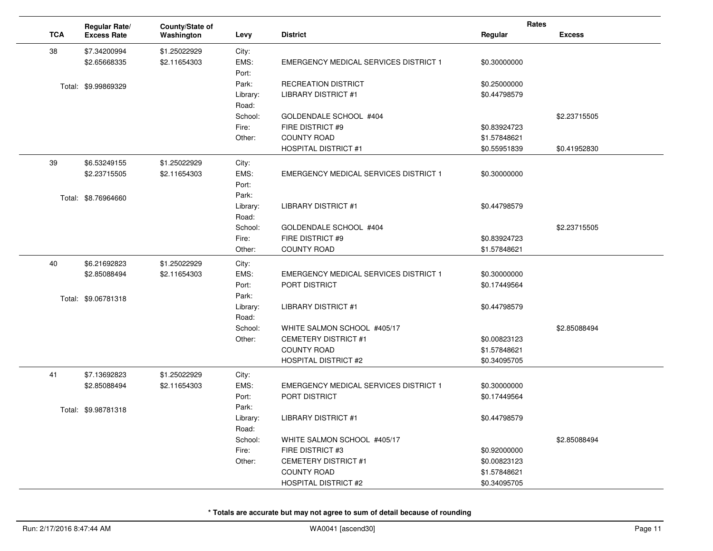|            | Regular Rate/       | County/State of |          |                                              | Rates        |               |
|------------|---------------------|-----------------|----------|----------------------------------------------|--------------|---------------|
| <b>TCA</b> | <b>Excess Rate</b>  | Washington      | Levy     | <b>District</b>                              | Regular      | <b>Excess</b> |
| 38         | \$7.34200994        | \$1.25022929    | City:    |                                              |              |               |
|            | \$2.65668335        | \$2.11654303    | EMS:     | <b>EMERGENCY MEDICAL SERVICES DISTRICT 1</b> | \$0.30000000 |               |
|            |                     |                 | Port:    |                                              |              |               |
|            | Total: \$9.99869329 |                 | Park:    | <b>RECREATION DISTRICT</b>                   | \$0.25000000 |               |
|            |                     |                 | Library: | <b>LIBRARY DISTRICT #1</b>                   | \$0.44798579 |               |
|            |                     |                 | Road:    |                                              |              |               |
|            |                     |                 | School:  | GOLDENDALE SCHOOL #404                       |              | \$2.23715505  |
|            |                     |                 | Fire:    | FIRE DISTRICT #9                             | \$0.83924723 |               |
|            |                     |                 | Other:   | <b>COUNTY ROAD</b>                           | \$1.57848621 |               |
|            |                     |                 |          | <b>HOSPITAL DISTRICT #1</b>                  | \$0.55951839 | \$0.41952830  |
| 39         | \$6.53249155        | \$1.25022929    | City:    |                                              |              |               |
|            | \$2.23715505        | \$2.11654303    | EMS:     | <b>EMERGENCY MEDICAL SERVICES DISTRICT 1</b> | \$0.30000000 |               |
|            |                     |                 | Port:    |                                              |              |               |
|            | Total: \$8.76964660 |                 | Park:    |                                              |              |               |
|            |                     |                 | Library: | <b>LIBRARY DISTRICT #1</b>                   | \$0.44798579 |               |
|            |                     |                 | Road:    |                                              |              |               |
|            |                     |                 | School:  | GOLDENDALE SCHOOL #404                       |              | \$2.23715505  |
|            |                     |                 | Fire:    | FIRE DISTRICT #9                             | \$0.83924723 |               |
|            |                     |                 | Other:   | <b>COUNTY ROAD</b>                           | \$1.57848621 |               |
| 40         | \$6.21692823        | \$1.25022929    | City:    |                                              |              |               |
|            | \$2.85088494        | \$2.11654303    | EMS:     | <b>EMERGENCY MEDICAL SERVICES DISTRICT 1</b> | \$0.30000000 |               |
|            |                     |                 | Port:    | PORT DISTRICT                                | \$0.17449564 |               |
|            | Total: \$9.06781318 |                 | Park:    |                                              |              |               |
|            |                     |                 | Library: | <b>LIBRARY DISTRICT #1</b>                   | \$0.44798579 |               |
|            |                     |                 | Road:    |                                              |              |               |
|            |                     |                 | School:  | WHITE SALMON SCHOOL #405/17                  |              | \$2.85088494  |
|            |                     |                 | Other:   | <b>CEMETERY DISTRICT #1</b>                  | \$0.00823123 |               |
|            |                     |                 |          | <b>COUNTY ROAD</b>                           | \$1.57848621 |               |
|            |                     |                 |          | <b>HOSPITAL DISTRICT #2</b>                  | \$0.34095705 |               |
| 41         | \$7.13692823        | \$1.25022929    | City:    |                                              |              |               |
|            | \$2.85088494        | \$2.11654303    | EMS:     | <b>EMERGENCY MEDICAL SERVICES DISTRICT 1</b> | \$0.30000000 |               |
|            |                     |                 | Port:    | PORT DISTRICT                                | \$0.17449564 |               |
|            | Total: \$9.98781318 |                 | Park:    |                                              |              |               |
|            |                     |                 | Library: | <b>LIBRARY DISTRICT #1</b>                   | \$0.44798579 |               |
|            |                     |                 | Road:    |                                              |              |               |
|            |                     |                 | School:  | WHITE SALMON SCHOOL #405/17                  |              | \$2.85088494  |
|            |                     |                 | Fire:    | FIRE DISTRICT #3                             | \$0.92000000 |               |
|            |                     |                 | Other:   | <b>CEMETERY DISTRICT #1</b>                  | \$0.00823123 |               |
|            |                     |                 |          | <b>COUNTY ROAD</b>                           | \$1.57848621 |               |
|            |                     |                 |          | <b>HOSPITAL DISTRICT #2</b>                  | \$0.34095705 |               |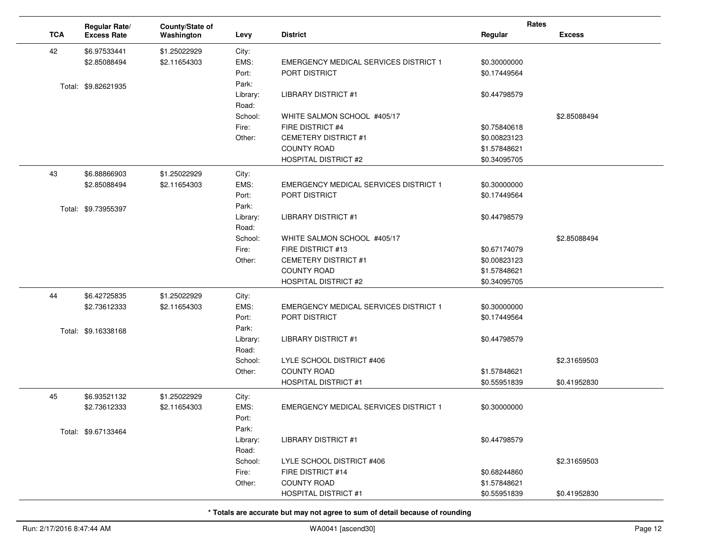|            | <b>Regular Rate/</b> | County/State of |               |                                              | Rates        |               |
|------------|----------------------|-----------------|---------------|----------------------------------------------|--------------|---------------|
| <b>TCA</b> | <b>Excess Rate</b>   | Washington      | Levy          | <b>District</b>                              | Regular      | <b>Excess</b> |
| 42         | \$6.97533441         | \$1.25022929    | City:         |                                              |              |               |
|            | \$2.85088494         | \$2.11654303    | EMS:          | <b>EMERGENCY MEDICAL SERVICES DISTRICT 1</b> | \$0.30000000 |               |
|            |                      |                 | Port:         | PORT DISTRICT                                | \$0.17449564 |               |
|            | Total: \$9.82621935  |                 | Park:         |                                              |              |               |
|            |                      |                 | Library:      | LIBRARY DISTRICT #1                          | \$0.44798579 |               |
|            |                      |                 | Road:         |                                              |              |               |
|            |                      |                 | School:       | WHITE SALMON SCHOOL #405/17                  |              | \$2.85088494  |
|            |                      |                 | Fire:         | FIRE DISTRICT #4                             | \$0.75840618 |               |
|            |                      |                 | Other:        | <b>CEMETERY DISTRICT #1</b>                  | \$0.00823123 |               |
|            |                      |                 |               | <b>COUNTY ROAD</b>                           | \$1.57848621 |               |
|            |                      |                 |               | <b>HOSPITAL DISTRICT #2</b>                  | \$0.34095705 |               |
|            |                      |                 |               |                                              |              |               |
| 43         | \$6.88866903         | \$1.25022929    | City:<br>EMS: |                                              |              |               |
|            | \$2.85088494         | \$2.11654303    |               | <b>EMERGENCY MEDICAL SERVICES DISTRICT 1</b> | \$0.30000000 |               |
|            |                      |                 | Port:         | PORT DISTRICT                                | \$0.17449564 |               |
|            | Total: \$9.73955397  |                 | Park:         |                                              |              |               |
|            |                      |                 | Library:      | <b>LIBRARY DISTRICT #1</b>                   | \$0.44798579 |               |
|            |                      |                 | Road:         |                                              |              |               |
|            |                      |                 | School:       | WHITE SALMON SCHOOL #405/17                  |              | \$2.85088494  |
|            |                      |                 | Fire:         | FIRE DISTRICT #13                            | \$0.67174079 |               |
|            |                      |                 | Other:        | <b>CEMETERY DISTRICT #1</b>                  | \$0.00823123 |               |
|            |                      |                 |               | <b>COUNTY ROAD</b>                           | \$1.57848621 |               |
|            |                      |                 |               | <b>HOSPITAL DISTRICT #2</b>                  | \$0.34095705 |               |
| 44         | \$6.42725835         | \$1.25022929    | City:         |                                              |              |               |
|            | \$2.73612333         | \$2.11654303    | EMS:          | <b>EMERGENCY MEDICAL SERVICES DISTRICT 1</b> | \$0.30000000 |               |
|            |                      |                 | Port:         | PORT DISTRICT                                | \$0.17449564 |               |
|            | Total: \$9.16338168  |                 | Park:         |                                              |              |               |
|            |                      |                 | Library:      | <b>LIBRARY DISTRICT #1</b>                   | \$0.44798579 |               |
|            |                      |                 | Road:         |                                              |              |               |
|            |                      |                 | School:       | LYLE SCHOOL DISTRICT #406                    |              | \$2.31659503  |
|            |                      |                 | Other:        | <b>COUNTY ROAD</b>                           | \$1.57848621 |               |
|            |                      |                 |               | <b>HOSPITAL DISTRICT #1</b>                  | \$0.55951839 | \$0.41952830  |
| 45         | \$6.93521132         | \$1.25022929    | City:         |                                              |              |               |
|            | \$2.73612333         | \$2.11654303    | EMS:          | <b>EMERGENCY MEDICAL SERVICES DISTRICT 1</b> | \$0.30000000 |               |
|            |                      |                 | Port:         |                                              |              |               |
|            | Total: \$9.67133464  |                 | Park:         |                                              |              |               |
|            |                      |                 | Library:      | <b>LIBRARY DISTRICT #1</b>                   | \$0.44798579 |               |
|            |                      |                 | Road:         |                                              |              |               |
|            |                      |                 | School:       | LYLE SCHOOL DISTRICT #406                    |              | \$2.31659503  |
|            |                      |                 | Fire:         | FIRE DISTRICT #14                            | \$0.68244860 |               |
|            |                      |                 | Other:        | <b>COUNTY ROAD</b>                           | \$1.57848621 |               |
|            |                      |                 |               | <b>HOSPITAL DISTRICT #1</b>                  | \$0.55951839 | \$0.41952830  |
|            |                      |                 |               |                                              |              |               |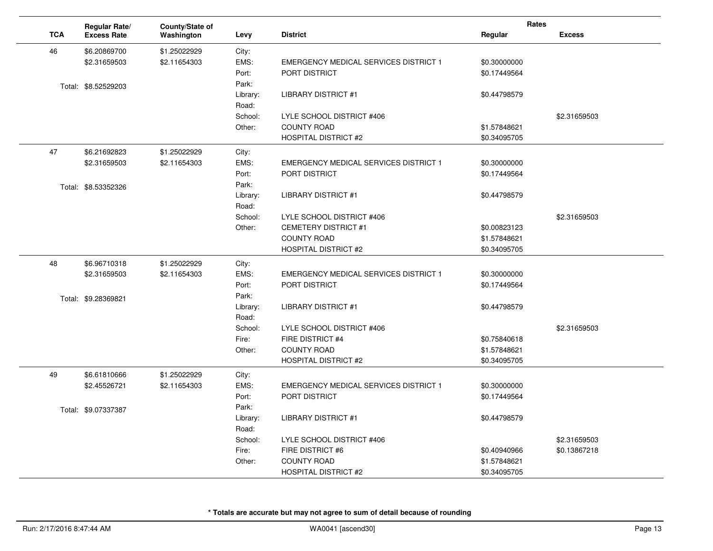|            | Regular Rate/       | County/State of |          |                                              | Rates        |               |
|------------|---------------------|-----------------|----------|----------------------------------------------|--------------|---------------|
| <b>TCA</b> | <b>Excess Rate</b>  | Washington      | Levy     | <b>District</b>                              | Regular      | <b>Excess</b> |
| 46         | \$6.20869700        | \$1.25022929    | City:    |                                              |              |               |
|            | \$2.31659503        | \$2.11654303    | EMS:     | <b>EMERGENCY MEDICAL SERVICES DISTRICT 1</b> | \$0.30000000 |               |
|            |                     |                 | Port:    | PORT DISTRICT                                | \$0.17449564 |               |
|            | Total: \$8.52529203 |                 | Park:    |                                              |              |               |
|            |                     |                 | Library: | <b>LIBRARY DISTRICT #1</b>                   | \$0.44798579 |               |
|            |                     |                 | Road:    |                                              |              |               |
|            |                     |                 | School:  | LYLE SCHOOL DISTRICT #406                    |              | \$2.31659503  |
|            |                     |                 | Other:   | <b>COUNTY ROAD</b>                           | \$1.57848621 |               |
|            |                     |                 |          | <b>HOSPITAL DISTRICT #2</b>                  | \$0.34095705 |               |
| 47         | \$6.21692823        | \$1.25022929    | City:    |                                              |              |               |
|            | \$2.31659503        | \$2.11654303    | EMS:     | <b>EMERGENCY MEDICAL SERVICES DISTRICT 1</b> | \$0.30000000 |               |
|            |                     |                 | Port:    | <b>PORT DISTRICT</b>                         | \$0.17449564 |               |
|            | Total: \$8.53352326 |                 | Park:    |                                              |              |               |
|            |                     |                 | Library: | <b>LIBRARY DISTRICT #1</b>                   | \$0.44798579 |               |
|            |                     |                 | Road:    |                                              |              |               |
|            |                     |                 | School:  | LYLE SCHOOL DISTRICT #406                    |              | \$2.31659503  |
|            |                     |                 | Other:   | <b>CEMETERY DISTRICT #1</b>                  | \$0.00823123 |               |
|            |                     |                 |          | <b>COUNTY ROAD</b>                           | \$1.57848621 |               |
|            |                     |                 |          | <b>HOSPITAL DISTRICT #2</b>                  | \$0.34095705 |               |
| 48         | \$6.96710318        | \$1.25022929    | City:    |                                              |              |               |
|            | \$2.31659503        | \$2.11654303    | EMS:     | <b>EMERGENCY MEDICAL SERVICES DISTRICT 1</b> | \$0.30000000 |               |
|            |                     |                 | Port:    | PORT DISTRICT                                | \$0.17449564 |               |
|            | Total: \$9.28369821 |                 | Park:    |                                              |              |               |
|            |                     |                 | Library: | <b>LIBRARY DISTRICT #1</b>                   | \$0.44798579 |               |
|            |                     |                 | Road:    |                                              |              |               |
|            |                     |                 | School:  | LYLE SCHOOL DISTRICT #406                    |              | \$2.31659503  |
|            |                     |                 | Fire:    | FIRE DISTRICT #4                             | \$0.75840618 |               |
|            |                     |                 | Other:   | <b>COUNTY ROAD</b>                           | \$1.57848621 |               |
|            |                     |                 |          | <b>HOSPITAL DISTRICT #2</b>                  | \$0.34095705 |               |
| 49         | \$6.61810666        | \$1.25022929    | City:    |                                              |              |               |
|            | \$2.45526721        | \$2.11654303    | EMS:     | <b>EMERGENCY MEDICAL SERVICES DISTRICT 1</b> | \$0.30000000 |               |
|            |                     |                 | Port:    | PORT DISTRICT                                | \$0.17449564 |               |
|            | Total: \$9.07337387 |                 | Park:    |                                              |              |               |
|            |                     |                 | Library: | <b>LIBRARY DISTRICT #1</b>                   | \$0.44798579 |               |
|            |                     |                 | Road:    |                                              |              |               |
|            |                     |                 | School:  | LYLE SCHOOL DISTRICT #406                    |              | \$2.31659503  |
|            |                     |                 | Fire:    | FIRE DISTRICT #6                             | \$0.40940966 | \$0.13867218  |
|            |                     |                 | Other:   | <b>COUNTY ROAD</b>                           | \$1.57848621 |               |
|            |                     |                 |          | <b>HOSPITAL DISTRICT #2</b>                  | \$0.34095705 |               |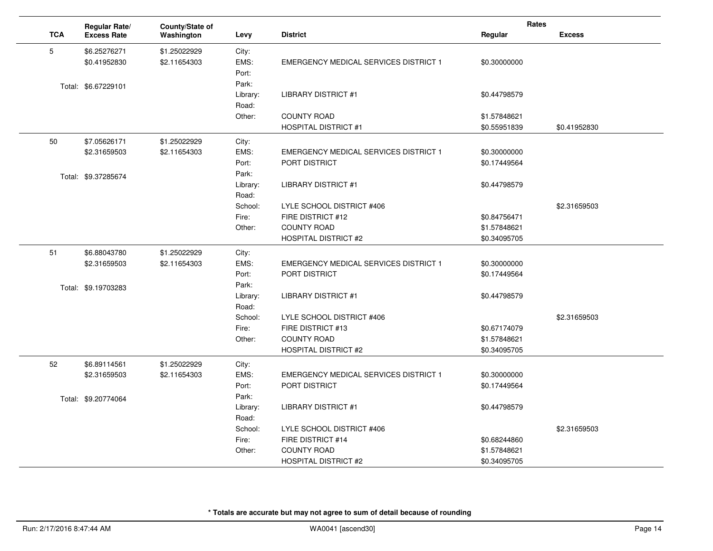|            | Regular Rate/       | County/State of |          |                                              | Rates        |               |
|------------|---------------------|-----------------|----------|----------------------------------------------|--------------|---------------|
| <b>TCA</b> | <b>Excess Rate</b>  | Washington      | Levy     | <b>District</b>                              | Regular      | <b>Excess</b> |
| 5          | \$6.25276271        | \$1.25022929    | City:    |                                              |              |               |
|            | \$0.41952830        | \$2.11654303    | EMS:     | <b>EMERGENCY MEDICAL SERVICES DISTRICT 1</b> | \$0.30000000 |               |
|            |                     |                 | Port:    |                                              |              |               |
|            | Total: \$6.67229101 |                 | Park:    |                                              |              |               |
|            |                     |                 | Library: | <b>LIBRARY DISTRICT #1</b>                   | \$0.44798579 |               |
|            |                     |                 | Road:    |                                              |              |               |
|            |                     |                 | Other:   | <b>COUNTY ROAD</b>                           | \$1.57848621 |               |
|            |                     |                 |          | <b>HOSPITAL DISTRICT #1</b>                  | \$0.55951839 | \$0.41952830  |
| 50         | \$7.05626171        | \$1.25022929    | City:    |                                              |              |               |
|            | \$2.31659503        | \$2.11654303    | EMS:     | <b>EMERGENCY MEDICAL SERVICES DISTRICT 1</b> | \$0.30000000 |               |
|            |                     |                 | Port:    | <b>PORT DISTRICT</b>                         | \$0.17449564 |               |
|            | Total: \$9.37285674 |                 | Park:    |                                              |              |               |
|            |                     |                 | Library: | <b>LIBRARY DISTRICT #1</b>                   | \$0.44798579 |               |
|            |                     |                 | Road:    |                                              |              |               |
|            |                     |                 | School:  | LYLE SCHOOL DISTRICT #406                    |              | \$2.31659503  |
|            |                     |                 | Fire:    | FIRE DISTRICT #12                            | \$0.84756471 |               |
|            |                     |                 | Other:   | <b>COUNTY ROAD</b>                           | \$1.57848621 |               |
|            |                     |                 |          | <b>HOSPITAL DISTRICT #2</b>                  | \$0.34095705 |               |
| 51         | \$6.88043780        | \$1.25022929    | City:    |                                              |              |               |
|            | \$2.31659503        | \$2.11654303    | EMS:     | <b>EMERGENCY MEDICAL SERVICES DISTRICT 1</b> | \$0.30000000 |               |
|            |                     |                 | Port:    | PORT DISTRICT                                | \$0.17449564 |               |
|            | Total: \$9.19703283 |                 | Park:    |                                              |              |               |
|            |                     |                 | Library: | <b>LIBRARY DISTRICT #1</b>                   | \$0.44798579 |               |
|            |                     |                 | Road:    |                                              |              |               |
|            |                     |                 | School:  | LYLE SCHOOL DISTRICT #406                    |              | \$2.31659503  |
|            |                     |                 | Fire:    | FIRE DISTRICT #13                            | \$0.67174079 |               |
|            |                     |                 | Other:   | <b>COUNTY ROAD</b>                           | \$1.57848621 |               |
|            |                     |                 |          | <b>HOSPITAL DISTRICT #2</b>                  | \$0.34095705 |               |
| 52         | \$6.89114561        | \$1.25022929    | City:    |                                              |              |               |
|            | \$2.31659503        | \$2.11654303    | EMS:     | <b>EMERGENCY MEDICAL SERVICES DISTRICT 1</b> | \$0.30000000 |               |
|            |                     |                 | Port:    | PORT DISTRICT                                | \$0.17449564 |               |
|            | Total: \$9.20774064 |                 | Park:    |                                              |              |               |
|            |                     |                 | Library: | <b>LIBRARY DISTRICT #1</b>                   | \$0.44798579 |               |
|            |                     |                 | Road:    |                                              |              |               |
|            |                     |                 | School:  | LYLE SCHOOL DISTRICT #406                    |              | \$2.31659503  |
|            |                     |                 | Fire:    | FIRE DISTRICT #14                            | \$0.68244860 |               |
|            |                     |                 | Other:   | <b>COUNTY ROAD</b>                           | \$1.57848621 |               |
|            |                     |                 |          | <b>HOSPITAL DISTRICT #2</b>                  | \$0.34095705 |               |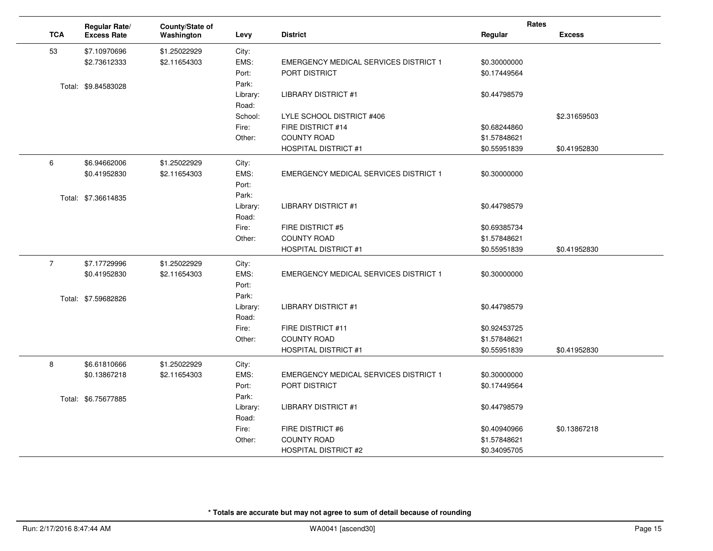|                | Regular Rate/       | County/State of |          |                                              | Rates        |               |
|----------------|---------------------|-----------------|----------|----------------------------------------------|--------------|---------------|
| <b>TCA</b>     | <b>Excess Rate</b>  | Washington      | Levy     | <b>District</b>                              | Regular      | <b>Excess</b> |
| 53             | \$7.10970696        | \$1.25022929    | City:    |                                              |              |               |
|                | \$2.73612333        | \$2.11654303    | EMS:     | <b>EMERGENCY MEDICAL SERVICES DISTRICT 1</b> | \$0.30000000 |               |
|                |                     |                 | Port:    | <b>PORT DISTRICT</b>                         | \$0.17449564 |               |
|                | Total: \$9.84583028 |                 | Park:    |                                              |              |               |
|                |                     |                 | Library: | LIBRARY DISTRICT #1                          | \$0.44798579 |               |
|                |                     |                 | Road:    |                                              |              |               |
|                |                     |                 | School:  | LYLE SCHOOL DISTRICT #406                    |              | \$2.31659503  |
|                |                     |                 | Fire:    | FIRE DISTRICT #14                            | \$0.68244860 |               |
|                |                     |                 | Other:   | <b>COUNTY ROAD</b>                           | \$1.57848621 |               |
|                |                     |                 |          | <b>HOSPITAL DISTRICT #1</b>                  | \$0.55951839 | \$0.41952830  |
| 6              | \$6.94662006        | \$1.25022929    | City:    |                                              |              |               |
|                | \$0.41952830        | \$2.11654303    | EMS:     | EMERGENCY MEDICAL SERVICES DISTRICT 1        | \$0.30000000 |               |
|                |                     |                 | Port:    |                                              |              |               |
|                | Total: \$7.36614835 |                 | Park:    |                                              |              |               |
|                |                     |                 | Library: | <b>LIBRARY DISTRICT #1</b>                   | \$0.44798579 |               |
|                |                     |                 | Road:    |                                              |              |               |
|                |                     |                 | Fire:    | FIRE DISTRICT #5                             | \$0.69385734 |               |
|                |                     |                 | Other:   | <b>COUNTY ROAD</b>                           | \$1.57848621 |               |
|                |                     |                 |          | <b>HOSPITAL DISTRICT #1</b>                  | \$0.55951839 | \$0.41952830  |
| $\overline{7}$ | \$7.17729996        | \$1.25022929    | City:    |                                              |              |               |
|                | \$0.41952830        | \$2.11654303    | EMS:     | <b>EMERGENCY MEDICAL SERVICES DISTRICT 1</b> | \$0.30000000 |               |
|                |                     |                 | Port:    |                                              |              |               |
|                | Total: \$7.59682826 |                 | Park:    |                                              |              |               |
|                |                     |                 | Library: | <b>LIBRARY DISTRICT #1</b>                   | \$0.44798579 |               |
|                |                     |                 | Road:    |                                              |              |               |
|                |                     |                 | Fire:    | FIRE DISTRICT #11                            | \$0.92453725 |               |
|                |                     |                 | Other:   | <b>COUNTY ROAD</b>                           | \$1.57848621 |               |
|                |                     |                 |          | <b>HOSPITAL DISTRICT #1</b>                  | \$0.55951839 | \$0.41952830  |
| 8              | \$6.61810666        | \$1.25022929    | City:    |                                              |              |               |
|                | \$0.13867218        | \$2.11654303    | EMS:     | EMERGENCY MEDICAL SERVICES DISTRICT 1        | \$0.30000000 |               |
|                |                     |                 | Port:    | PORT DISTRICT                                | \$0.17449564 |               |
|                | Total: \$6.75677885 |                 | Park:    |                                              |              |               |
|                |                     |                 | Library: | <b>LIBRARY DISTRICT #1</b>                   | \$0.44798579 |               |
|                |                     |                 | Road:    |                                              |              |               |
|                |                     |                 | Fire:    | FIRE DISTRICT #6                             | \$0.40940966 | \$0.13867218  |
|                |                     |                 | Other:   | <b>COUNTY ROAD</b>                           | \$1.57848621 |               |
|                |                     |                 |          | <b>HOSPITAL DISTRICT #2</b>                  | \$0.34095705 |               |